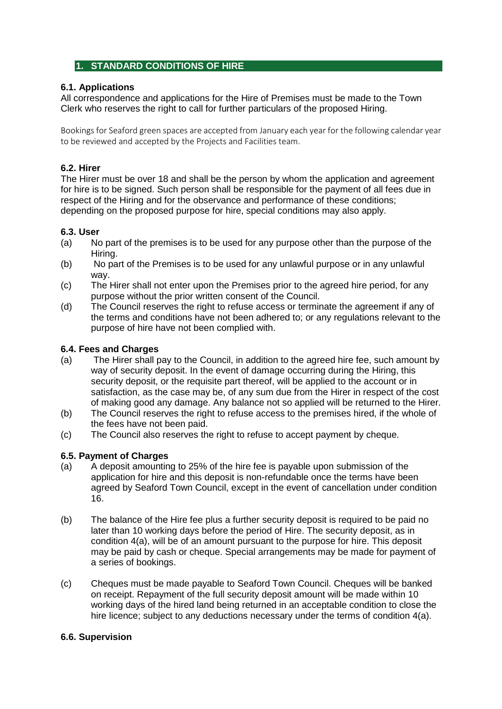# **1. STANDARD CONDITIONS OF HIRE**

### **6.1. Applications**

All correspondence and applications for the Hire of Premises must be made to the Town Clerk who reserves the right to call for further particulars of the proposed Hiring.

Bookings for Seaford green spaces are accepted from January each year for the following calendar year to be reviewed and accepted by the Projects and Facilities team.

### **6.2. Hirer**

The Hirer must be over 18 and shall be the person by whom the application and agreement for hire is to be signed. Such person shall be responsible for the payment of all fees due in respect of the Hiring and for the observance and performance of these conditions; depending on the proposed purpose for hire, special conditions may also apply.

## **6.3. User**

- (a) No part of the premises is to be used for any purpose other than the purpose of the Hiring.
- (b) No part of the Premises is to be used for any unlawful purpose or in any unlawful way.
- (c) The Hirer shall not enter upon the Premises prior to the agreed hire period, for any purpose without the prior written consent of the Council.
- (d) The Council reserves the right to refuse access or terminate the agreement if any of the terms and conditions have not been adhered to; or any regulations relevant to the purpose of hire have not been complied with.

## **6.4. Fees and Charges**

- (a) The Hirer shall pay to the Council, in addition to the agreed hire fee, such amount by way of security deposit. In the event of damage occurring during the Hiring, this security deposit, or the requisite part thereof, will be applied to the account or in satisfaction, as the case may be, of any sum due from the Hirer in respect of the cost of making good any damage. Any balance not so applied will be returned to the Hirer.
- (b) The Council reserves the right to refuse access to the premises hired, if the whole of the fees have not been paid.
- (c) The Council also reserves the right to refuse to accept payment by cheque.

### **6.5. Payment of Charges**

- (a) A deposit amounting to 25% of the hire fee is payable upon submission of the application for hire and this deposit is non-refundable once the terms have been agreed by Seaford Town Council, except in the event of cancellation under condition 16.
- (b) The balance of the Hire fee plus a further security deposit is required to be paid no later than 10 working days before the period of Hire. The security deposit, as in condition 4(a), will be of an amount pursuant to the purpose for hire. This deposit may be paid by cash or cheque. Special arrangements may be made for payment of a series of bookings.
- (c) Cheques must be made payable to Seaford Town Council. Cheques will be banked on receipt. Repayment of the full security deposit amount will be made within 10 working days of the hired land being returned in an acceptable condition to close the hire licence; subject to any deductions necessary under the terms of condition 4(a).

### **6.6. Supervision**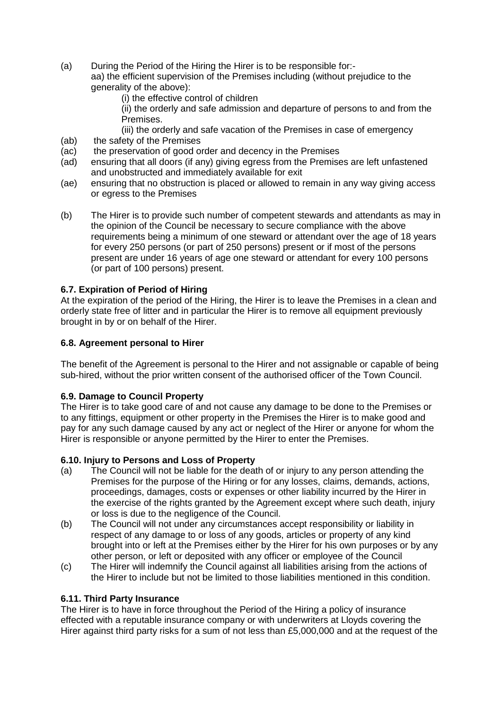- (a) During the Period of the Hiring the Hirer is to be responsible for: aa) the efficient supervision of the Premises including (without prejudice to the generality of the above):
	- (i) the effective control of children
	- (ii) the orderly and safe admission and departure of persons to and from the Premises.

(iii) the orderly and safe vacation of the Premises in case of emergency (ab) the safety of the Premises

- (ac) the preservation of good order and decency in the Premises
- (ad) ensuring that all doors (if any) giving egress from the Premises are left unfastened and unobstructed and immediately available for exit
- (ae) ensuring that no obstruction is placed or allowed to remain in any way giving access or egress to the Premises
- (b) The Hirer is to provide such number of competent stewards and attendants as may in the opinion of the Council be necessary to secure compliance with the above requirements being a minimum of one steward or attendant over the age of 18 years for every 250 persons (or part of 250 persons) present or if most of the persons present are under 16 years of age one steward or attendant for every 100 persons (or part of 100 persons) present.

## **6.7. Expiration of Period of Hiring**

At the expiration of the period of the Hiring, the Hirer is to leave the Premises in a clean and orderly state free of litter and in particular the Hirer is to remove all equipment previously brought in by or on behalf of the Hirer.

### **6.8. Agreement personal to Hirer**

The benefit of the Agreement is personal to the Hirer and not assignable or capable of being sub-hired, without the prior written consent of the authorised officer of the Town Council.

### **6.9. Damage to Council Property**

The Hirer is to take good care of and not cause any damage to be done to the Premises or to any fittings, equipment or other property in the Premises the Hirer is to make good and pay for any such damage caused by any act or neglect of the Hirer or anyone for whom the Hirer is responsible or anyone permitted by the Hirer to enter the Premises.

### **6.10. Injury to Persons and Loss of Property**

- (a) The Council will not be liable for the death of or injury to any person attending the Premises for the purpose of the Hiring or for any losses, claims, demands, actions, proceedings, damages, costs or expenses or other liability incurred by the Hirer in the exercise of the rights granted by the Agreement except where such death, injury or loss is due to the negligence of the Council.
- (b) The Council will not under any circumstances accept responsibility or liability in respect of any damage to or loss of any goods, articles or property of any kind brought into or left at the Premises either by the Hirer for his own purposes or by any other person, or left or deposited with any officer or employee of the Council
- (c) The Hirer will indemnify the Council against all liabilities arising from the actions of the Hirer to include but not be limited to those liabilities mentioned in this condition.

#### **6.11. Third Party Insurance**

The Hirer is to have in force throughout the Period of the Hiring a policy of insurance effected with a reputable insurance company or with underwriters at Lloyds covering the Hirer against third party risks for a sum of not less than £5,000,000 and at the request of the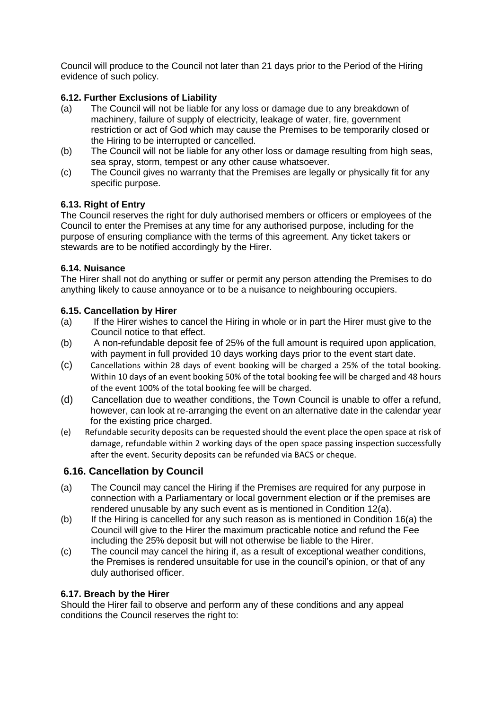Council will produce to the Council not later than 21 days prior to the Period of the Hiring evidence of such policy.

## **6.12. Further Exclusions of Liability**

- (a) The Council will not be liable for any loss or damage due to any breakdown of machinery, failure of supply of electricity, leakage of water, fire, government restriction or act of God which may cause the Premises to be temporarily closed or the Hiring to be interrupted or cancelled.
- (b) The Council will not be liable for any other loss or damage resulting from high seas, sea spray, storm, tempest or any other cause whatsoever.
- (c) The Council gives no warranty that the Premises are legally or physically fit for any specific purpose.

### **6.13. Right of Entry**

The Council reserves the right for duly authorised members or officers or employees of the Council to enter the Premises at any time for any authorised purpose, including for the purpose of ensuring compliance with the terms of this agreement. Any ticket takers or stewards are to be notified accordingly by the Hirer.

### **6.14. Nuisance**

The Hirer shall not do anything or suffer or permit any person attending the Premises to do anything likely to cause annoyance or to be a nuisance to neighbouring occupiers.

### **6.15. Cancellation by Hirer**

- (a) If the Hirer wishes to cancel the Hiring in whole or in part the Hirer must give to the Council notice to that effect.
- (b) A non-refundable deposit fee of 25% of the full amount is required upon application, with payment in full provided 10 days working days prior to the event start date.
- (c) Cancellations within 28 days of event booking will be charged a 25% of the total booking. Within 10 days of an event booking 50% of the total booking fee will be charged and 48 hours of the event 100% of the total booking fee will be charged.
- (d) Cancellation due to weather conditions, the Town Council is unable to offer a refund, however, can look at re-arranging the event on an alternative date in the calendar year for the existing price charged.
- (e) Refundable security deposits can be requested should the event place the open space at risk of damage, refundable within 2 working days of the open space passing inspection successfully after the event. Security deposits can be refunded via BACS or cheque.

# **6.16. Cancellation by Council**

- (a) The Council may cancel the Hiring if the Premises are required for any purpose in connection with a Parliamentary or local government election or if the premises are rendered unusable by any such event as is mentioned in Condition 12(a).
- (b) If the Hiring is cancelled for any such reason as is mentioned in Condition 16(a) the Council will give to the Hirer the maximum practicable notice and refund the Fee including the 25% deposit but will not otherwise be liable to the Hirer.
- (c) The council may cancel the hiring if, as a result of exceptional weather conditions, the Premises is rendered unsuitable for use in the council's opinion, or that of any duly authorised officer.

### **6.17. Breach by the Hirer**

Should the Hirer fail to observe and perform any of these conditions and any appeal conditions the Council reserves the right to: